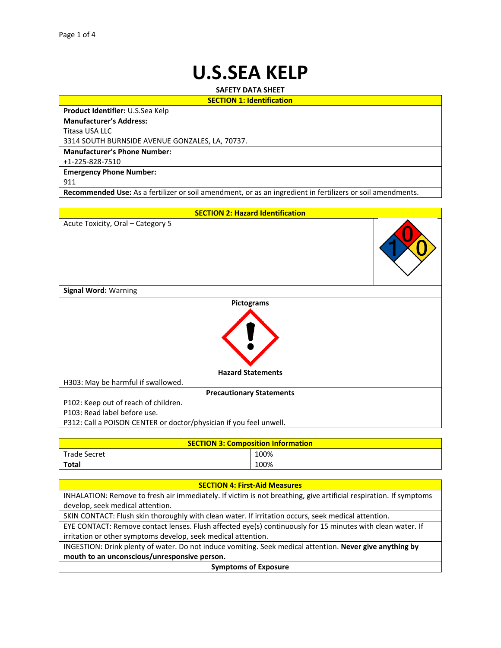# **U.S.SEA KELP**

**SAFETY DATA SHEET SECTION 1: Identification**

**Product Identifier:** U.S.Sea Kelp

**Manufacturer's Address:**

Titasa USA LLC

3314 SOUTH BURNSIDE AVENUE GONZALES, LA, 70737.

**Manufacturer's Phone Number:**

+1-225-828-7510

**Emergency Phone Number:**

911

**Recommended Use:** As a fertilizer or soil amendment, or as an ingredient in fertilizers or soil amendments.



| <b>SECTION 3: Composition Information</b> |      |  |  |
|-------------------------------------------|------|--|--|
| Trade Secret                              | 100% |  |  |
| <b>Total</b>                              | 100% |  |  |

| <b>SECTION 4: First-Aid Measures</b>                                                                              |  |  |  |
|-------------------------------------------------------------------------------------------------------------------|--|--|--|
| INHALATION: Remove to fresh air immediately. If victim is not breathing, give artificial respiration. If symptoms |  |  |  |
| develop, seek medical attention.                                                                                  |  |  |  |
| SKIN CONTACT: Flush skin thoroughly with clean water. If irritation occurs, seek medical attention.               |  |  |  |
| EYE CONTACT: Remove contact lenses. Flush affected eye(s) continuously for 15 minutes with clean water. If        |  |  |  |
| irritation or other symptoms develop, seek medical attention.                                                     |  |  |  |
| INGESTION: Drink plenty of water. Do not induce vomiting. Seek medical attention. Never give anything by          |  |  |  |
| mouth to an unconscious/unresponsive person.                                                                      |  |  |  |
| <b>Symptoms of Exposure</b>                                                                                       |  |  |  |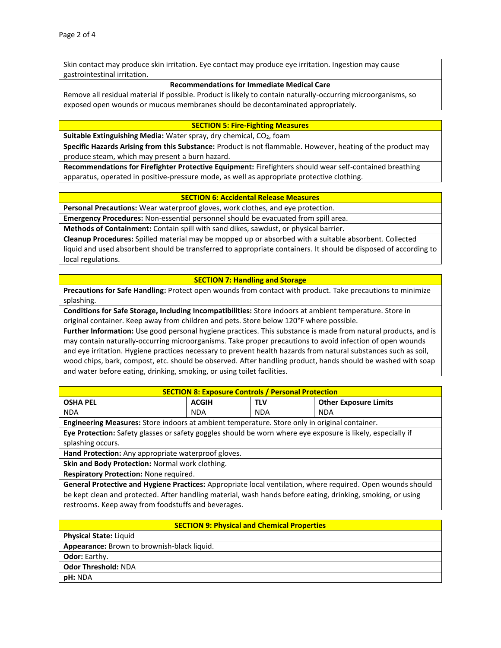Skin contact may produce skin irritation. Eye contact may produce eye irritation. Ingestion may cause gastrointestinal irritation.

#### **Recommendations for Immediate Medical Care**

Remove all residual material if possible. Product is likely to contain naturally-occurring microorganisms, so exposed open wounds or mucous membranes should be decontaminated appropriately.

#### **SECTION 5: Fire-Fighting Measures**

**Suitable Extinguishing Media:** Water spray, dry chemical, CO<sub>2</sub>, foam

**Specific Hazards Arising from this Substance:** Product is not flammable. However, heating of the product may produce steam, which may present a burn hazard.

**Recommendations for Firefighter Protective Equipment:** Firefighters should wear self-contained breathing apparatus, operated in positive-pressure mode, as well as appropriate protective clothing.

#### **SECTION 6: Accidental Release Measures**

**Personal Precautions:** Wear waterproof gloves, work clothes, and eye protection.

**Emergency Procedures:** Non-essential personnel should be evacuated from spill area.

**Methods of Containment:** Contain spill with sand dikes, sawdust, or physical barrier.

**Cleanup Procedures:** Spilled material may be mopped up or absorbed with a suitable absorbent. Collected liquid and used absorbent should be transferred to appropriate containers. It should be disposed of according to local regulations.

#### **SECTION 7: Handling and Storage**

**Precautions for Safe Handling:** Protect open wounds from contact with product. Take precautions to minimize splashing.

**Conditions for Safe Storage, Including Incompatibilities:** Store indoors at ambient temperature. Store in original container. Keep away from children and pets. Store below 120°F where possible.

**Further Information:** Use good personal hygiene practices. This substance is made from natural products, and is may contain naturally-occurring microorganisms. Take proper precautions to avoid infection of open wounds and eye irritation. Hygiene practices necessary to prevent health hazards from natural substances such as soil, wood chips, bark, compost, etc. should be observed. After handling product, hands should be washed with soap and water before eating, drinking, smoking, or using toilet facilities.

| <b>SECTION 8: Exposure Controls / Personal Protection</b>                                                   |              |            |                              |  |
|-------------------------------------------------------------------------------------------------------------|--------------|------------|------------------------------|--|
| <b>OSHA PEL</b>                                                                                             | <b>ACGIH</b> | <b>TLV</b> | <b>Other Exposure Limits</b> |  |
| <b>NDA</b>                                                                                                  | <b>NDA</b>   | <b>NDA</b> | <b>NDA</b>                   |  |
| <b>Engineering Measures:</b> Store indoors at ambient temperature. Store only in original container.        |              |            |                              |  |
| Eye Protection: Safety glasses or safety goggles should be worn where eye exposure is likely, especially if |              |            |                              |  |
| splashing occurs.                                                                                           |              |            |                              |  |
| Hand Protection: Any appropriate waterproof gloves.                                                         |              |            |                              |  |
| Skin and Body Protection: Normal work clothing.                                                             |              |            |                              |  |
| <b>Respiratory Protection: None required.</b>                                                               |              |            |                              |  |
| General Protective and Hygiene Practices: Appropriate local ventilation, where required. Open wounds should |              |            |                              |  |
| be kept clean and protected. After handling material, wash hands before eating, drinking, smoking, or using |              |            |                              |  |

restrooms. Keep away from foodstuffs and beverages.

## **SECTION 9: Physical and Chemical Properties**

**Physical State:** Liquid **Appearance:** Brown to brownish-black liquid. **Odor:** Earthy. **Odor Threshold:** NDA **pH:** NDA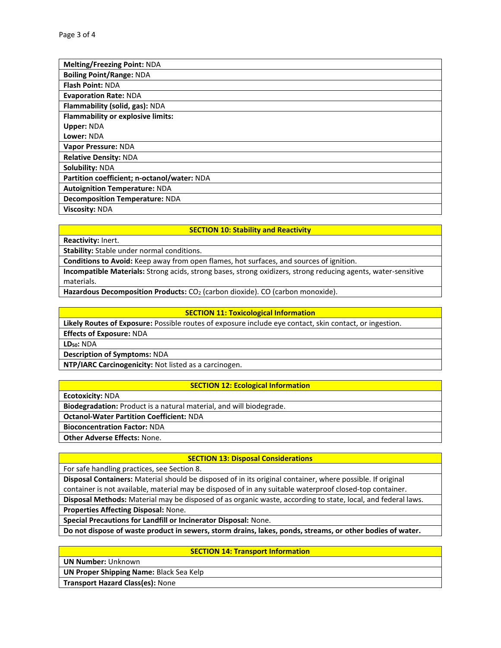| <b>Melting/Freezing Point: NDA</b>          |
|---------------------------------------------|
| <b>Boiling Point/Range: NDA</b>             |
| <b>Flash Point: NDA</b>                     |
| <b>Evaporation Rate: NDA</b>                |
| Flammability (solid, gas): NDA              |
| <b>Flammability or explosive limits:</b>    |
| <b>Upper: NDA</b>                           |
| Lower: NDA                                  |
| Vapor Pressure: NDA                         |
| <b>Relative Density: NDA</b>                |
| Solubility: NDA                             |
| Partition coefficient; n-octanol/water: NDA |
| <b>Autoignition Temperature: NDA</b>        |
| <b>Decomposition Temperature: NDA</b>       |
| <b>Viscosity: NDA</b>                       |

## **SECTION 10: Stability and Reactivity**

**Reactivity:** Inert.

**Stability:** Stable under normal conditions.

**Conditions to Avoid:** Keep away from open flames, hot surfaces, and sources of ignition.

**Incompatible Materials:** Strong acids, strong bases, strong oxidizers, strong reducing agents, water-sensitive materials.

Hazardous Decomposition Products: CO<sub>2</sub> (carbon dioxide). CO (carbon monoxide).

#### **SECTION 11: Toxicological Information**

**Likely Routes of Exposure:** Possible routes of exposure include eye contact, skin contact, or ingestion. **Effects of Exposure:** NDA

**LD50:** NDA

**Description of Symptoms:** NDA

**NTP/IARC Carcinogenicity:** Not listed as a carcinogen.

## **SECTION 12: Ecological Information**

**Ecotoxicity:** NDA

**Biodegradation:** Product is a natural material, and will biodegrade.

**Octanol-Water Partition Coefficient:** NDA

**Bioconcentration Factor:** NDA

**Other Adverse Effects:** None.

## **SECTION 13: Disposal Considerations**

For safe handling practices, see Section 8.

**Disposal Containers:** Material should be disposed of in its original container, where possible. If original container is not available, material may be disposed of in any suitable waterproof closed-top container.

**Disposal Methods:** Material may be disposed of as organic waste, according to state, local, and federal laws.

**Properties Affecting Disposal:** None.

**Special Precautions for Landfill or Incinerator Disposal:** None.

**Do not dispose of waste product in sewers, storm drains, lakes, ponds, streams, or other bodies of water.**

## **SECTION 14: Transport Information**

**UN Number:** Unknown

**UN Proper Shipping Name:** Black Sea Kelp

**Transport Hazard Class(es):** None